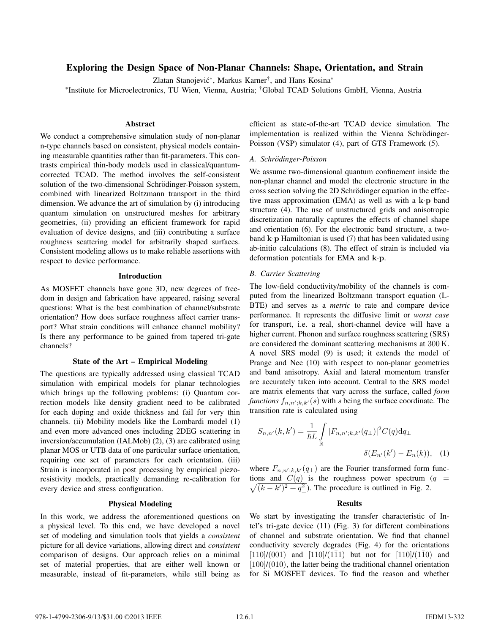# **Exploring the Design Space of Non-Planar Channels: Shape, Orientation, and Strain**

Zlatan Stanojević\*, Markus Karner<sup>†</sup>, and Hans Kosina\*

\*Institute for Microelectronics, TU Wien, Vienna, Austria; †Global TCAD Solutions GmbH, Vienna, Austria

## **Abstract**

We conduct a comprehensive simulation study of non-planar n-type channels based on consistent, physical models containing measurable quantities rather than fit-parameters. This contrasts empirical thin-body models used in classical/quantumcorrected TCAD. The method involves the self-consistent solution of the two-dimensional Schrödinger-Poisson system, combined with linearized Boltzmann transport in the third dimension. We advance the art of simulation by (i) introducing quantum simulation on unstructured meshes for arbitrary geometries, (ii) providing an efficient framework for rapid evaluation of device designs, and (iii) contributing a surface roughness scattering model for arbitrarily shaped surfaces. Consistent modeling allows us to make reliable assertions with respect to device performance.

### **Introduction**

As MOSFET channels have gone 3D, new degrees of freedom in design and fabrication have appeared, raising several questions: What is the best combination of channel/substrate orientation? How does surface roughness affect carrier transport? What strain conditions will enhance channel mobility? Is there any performance to be gained from tapered tri-gate channels?

## **State of the Art – Empirical Modeling**

The questions are typically addressed using classical TCAD simulation with empirical models for planar technologies which brings up the following problems: (i) Quantum correction models like density gradient need to be calibrated for each doping and oxide thickness and fail for very thin channels. (ii) Mobility models like the Lombardi model (1) and even more advanced ones including 2DEG scattering in inversion/accumulation (IALMob) (2), (3) are calibrated using planar MOS or UTB data of one particular surface orientation, requiring one set of parameters for each orientation. (iii) Strain is incorporated in post processing by empirical piezoresistivity models, practically demanding re-calibration for every device and stress configuration.

## **Physical Modeling**

In this work, we address the aforementioned questions on a physical level. To this end, we have developed a novel set of modeling and simulation tools that yields a *consistent* picture for all device variations, allowing direct and *consistent* comparison of designs. Our approach relies on a minimal set of material properties, that are either well known or measurable, instead of fit-parameters, while still being as

efficient as state-of-the-art TCAD device simulation. The implementation is realized within the Vienna Schrödinger-Poisson (VSP) simulator (4), part of GTS Framework (5).

## *A. Schrodinger-Poisson ¨*

We assume two-dimensional quantum confinement inside the non-planar channel and model the electronic structure in the cross section solving the 2D Schrödinger equation in the effective mass approximation (EMA) as well as with a **k**·**p** band structure (4). The use of unstructured grids and anisotropic discretization naturally captures the effects of channel shape and orientation (6). For the electronic band structure, a twoband  $\mathbf{k} \cdot \mathbf{p}$  Hamiltonian is used (7) that has been validated using ab-initio calculations (8). The effect of strain is included via deformation potentials for EMA and **k**·**p**.

#### *B. Carrier Scattering*

The low-field conductivity/mobility of the channels is computed from the linearized Boltzmann transport equation (L-BTE) and serves as a *metric* to rate and compare device performance. It represents the diffusive limit or *worst case* for transport, i.e. a real, short-channel device will have a higher current. Phonon and surface roughness scattering (SRS) are considered the dominant scattering mechanisms at 300 K. A novel SRS model (9) is used; it extends the model of Prange and Nee (10) with respect to non-planar geometries and band anisotropy. Axial and lateral momentum transfer are accurately taken into account. Central to the SRS model are matrix elements that vary across the surface, called *form functions*  $f_{n,n';k,k'}(s)$  with s being the surface coordinate. The transition rate is calculated using

$$
S_{n,n'}(k,k') = \frac{1}{\hbar L} \int_{\mathbb{R}} |F_{n,n';k,k'}(q_{\perp})|^2 C(q) dq_{\perp}
$$

$$
\delta(E_{n'}(k') - E_n(k)), \quad (1)
$$

where  $F_{n,n';k,k'}(q_{\perp})$  are the Fourier transformed form functions and  $C(q)$  is the roughness power spectrum (q =  $\sqrt{(k-k')^2+q_{\perp}^2}$ . The procedure is outlined in Fig. 2.

## **Results**

We start by investigating the transfer characteristic of Intel's tri-gate device (11) (Fig. 3) for different combinations of channel and substrate orientation. We find that channel conductivity severely degrades (Fig. 4) for the orientations  $[110]/(001)$  and  $[110]/(1\overline{1}1)$  but not for  $[110]/(1\overline{1}0)$  and  $[100]/(010)$ , the latter being the traditional channel orientation for Si MOSFET devices. To find the reason and whether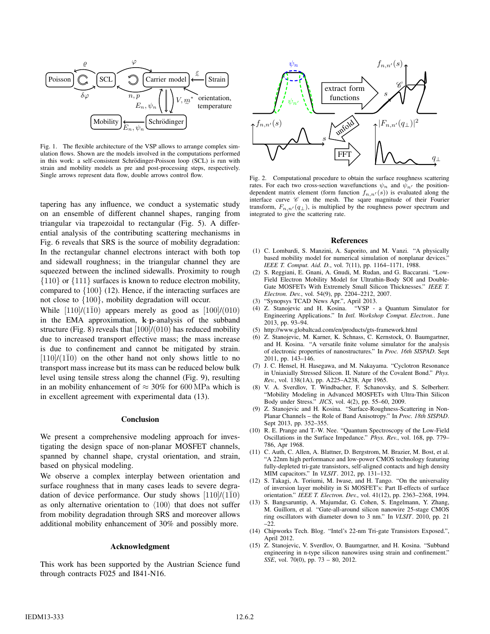

Fig. 1. The flexible architecture of the VSP allows to arrange complex simulation flows. Shown are the models involved in the computations performed in this work: a self-consistent Schrödinger-Poisson loop (SCL) is run with strain and mobility models as pre and post-processing steps, respectively. Single arrows represent data flow, double arrows control flow.

tapering has any influence, we conduct a systematic study on an ensemble of different channel shapes, ranging from triangular via trapezoidal to rectangular (Fig. 5). A differential analysis of the contributing scattering mechanisms in Fig. 6 reveals that SRS is the source of mobility degradation: In the rectangular channel electrons interact with both top and sidewall roughness; in the triangular channel they are squeezed between the inclined sidewalls. Proximity to rough {110} or {111} surfaces is known to reduce electron mobility, compared to {100} (12). Hence, if the interacting surfaces are not close to {100}, mobility degradation will occur.

While  $[110]/(1\overline{1}0)$  appears merely as good as  $[100]/(010)$ in the EMA approximation, **k**·**p**-analysis of the subband structure (Fig. 8) reveals that  $[100]/(010)$  has reduced mobility due to increased transport effective mass; the mass increase is due to confinement and cannot be mitigated by strain.  $[110]/(1\bar{1}0)$  on the other hand not only shows little to no transport mass increase but its mass can be reduced below bulk level using tensile stress along the channel (Fig. 9), resulting in an mobility enhancement of  $\approx 30\%$  for 600 MPa which is in excellent agreement with experimental data (13).

## **Conclusion**

We present a comprehensive modeling approach for investigating the design space of non-planar MOSFET channels, spanned by channel shape, crystal orientation, and strain, based on physical modeling.

We observe a complex interplay between orientation and surface roughness that in many cases leads to severe degradation of device performance. Our study shows  $[110]/(1\bar{1}0)$ as only alternative orientation to  $\langle 100 \rangle$  that does not suffer from mobility degradation through SRS and moreover allows additional mobility enhancement of 30% and possibly more.

#### **Acknowledgment**

This work has been supported by the Austrian Science fund through contracts F025 and I841-N16.



Fig. 2. Computational procedure to obtain the surface roughness scattering rates. For each two cross-section wavefunctions  $\psi_n$  and  $\psi_{n'}$  the positiondependent matrix element (form function  $f_{n,n'}(s)$ ) is evaluated along the interface curve *C* on the mesh. The sqare magnitude of their Fourier transform,  $F_{n,n'}(q_{\perp})$ , is multiplied by the roughness power spectrum and integrated to give the scattering rate.

#### **References**

- (1) C. Lombardi, S. Manzini, A. Saporito, and M. Vanzi. "A physically based mobility model for numerical simulation of nonplanar devices." *IEEE T. Comput. Aid. D.*, vol. 7(11), pp. 1164–1171, 1988.
- (2) S. Reggiani, E. Gnani, A. Gnudi, M. Rudan, and G. Baccarani. "Low-Field Electron Mobility Model for Ultrathin-Body SOI and Double-Gate MOSFETs With Extremely Small Silicon Thicknesses." *IEEE T. Electron. Dev.*, vol. 54(9), pp. 2204–2212, 2007.
- (3) "Synopsys TCAD News Apr.", April 2013.
- (4) Z. Stanojevic and H. Kosina. "VSP a Quantum Simulator for Engineering Applications." In *Intl. Workshop Comput. Electron.*. June 2013, pp. 93–94.
- (5) http://www.globaltcad.com/en/products/gts-framework.html
- (6) Z. Stanojevic, M. Karner, K. Schnass, C. Kernstock, O. Baumgartner, and H. Kosina. "A versatile finite volume simulator for the analysis of electronic properties of nanostructures." In *Proc. 16th SISPAD*. Sept 2011, pp. 143–146.
- (7) J. C. Hensel, H. Hasegawa, and M. Nakayama. "Cyclotron Resonance in Uniaxially Stressed Silicon. II. Nature of the Covalent Bond." *Phys. Rev.*, vol. 138(1A), pp. A225–A238, Apr 1965.
- (8) V. A. Sverdlov, T. Windbacher, F. Schanovsky, and S. Selberherr. "Mobility Modeling in Advanced MOSFETs with Ultra-Thin Silicon Body under Stress." *JICS*, vol. 4(2), pp. 55–60, 2009.
- (9) Z. Stanojevic and H. Kosina. "Surface-Roughness-Scattering in Non-Planar Channels – the Role of Band Anisotropy." In *Proc. 18th SISPAD*. Sept 2013, pp. 352–355.
- (10) R. E. Prange and T.-W. Nee. "Quantum Spectroscopy of the Low-Field Oscillations in the Surface Impedance." *Phys. Rev.*, vol. 168, pp. 779– 786, Apr 1968.
- (11) C. Auth, C. Allen, A. Blattner, D. Bergstrom, M. Brazier, M. Bost, et al. "A 22nm high performance and low-power CMOS technology featuring fully-depleted tri-gate transistors, self-aligned contacts and high density MIM capacitors." In *VLSIT*. 2012, pp. 131–132.
- (12) S. Takagi, A. Toriumi, M. Iwase, and H. Tango. "On the universality of inversion layer mobility in Si MOSFET's: Part II-effects of surface orientation." *IEEE T. Electron. Dev.*, vol. 41(12), pp. 2363–2368, 1994.
- (13) S. Bangsaruntip, A. Majumdar, G. Cohen, S. Engelmann, Y. Zhang, M. Guillorn, et al. "Gate-all-around silicon nanowire 25-stage CMOS ring oscillators with diameter down to 3 nm." In *VLSIT*. 2010, pp. 21 –22.
- (14) Chipworks Tech. Blog. "Intel's 22-nm Tri-gate Transistors Exposed.", April 2012.
- (15) Z. Stanojevic, V. Sverdlov, O. Baumgartner, and H. Kosina. "Subband engineering in n-type silicon nanowires using strain and confinement." *SSE*, vol. 70(0), pp. 73 – 80, 2012.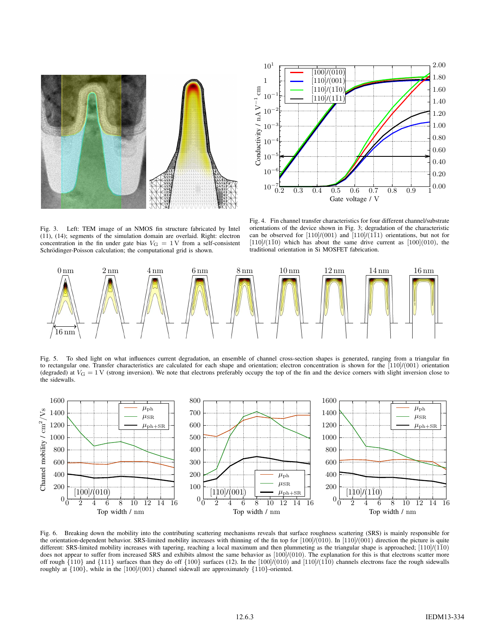



Fig. 3. Left: TEM image of an NMOS fin structure fabricated by Intel (11), (14); segments of the simulation domain are overlaid. Right: electron concentration in the fin under gate bias  $V_{\text{G}} = 1 \text{V}$  from a self-consistent Schrödinger-Poisson calculation; the computational grid is shown.

Fig. 4. Fin channel transfer characteristics for four different channel/substrate orientations of the device shown in Fig. 3; degradation of the characteristic can be observed for  $\left[110\right]/\left(001\right)$  and  $\left[110\right]/\left(1\overline{1}1\right)$  orientations, but not for  $[110]/(1\bar{1}0)$  which has about the same drive current as  $[100](010)$ , the traditional orientation in Si MOSFET fabrication.



Fig. 5. To shed light on what influences current degradation, an ensemble of channel cross-section shapes is generated, ranging from a triangular fin to rectangular one. Transfer characteristics are calculated for each shape and orientation; electron concentration is shown for the  $[110]/(001)$  orientation (degraded) at  $V_G = 1$  V (strong inversion). We note that electrons preferably occupy the top of the fin and the device corners with slight inversion close to the sidewalls.



Fig. 6. Breaking down the mobility into the contributing scattering mechanisms reveals that surface roughness scattering (SRS) is mainly responsible for the orientation-dependent behavior. SRS-limited mobility increases with thinning of the fin top for  $[100]/(010)$ . In  $[110]/(001)$  direction the picture is quite different: SRS-limited mobility increases with tapering, reaching a local maximum and then plummeting as the triangular shape is approached;  $[110]/(\overline{1}\overline{1}0)$ does not appear to suffer from increased SRS and exhibits almost the same behavior as [100]/(010). The explanation for this is that electrons scatter more off rough  $\{110\}$  and  $\{111\}$  surfaces than they do off  $\{100\}$  surfaces (12). In the  $[100]/(010)$  and  $[110]/(1\bar{10})$  channels electrons face the rough sidewalls roughly at  $\{100\}$ , while in the  $[100]/(001)$  channel sidewall are approximately  $\{110\}$ -oriented.